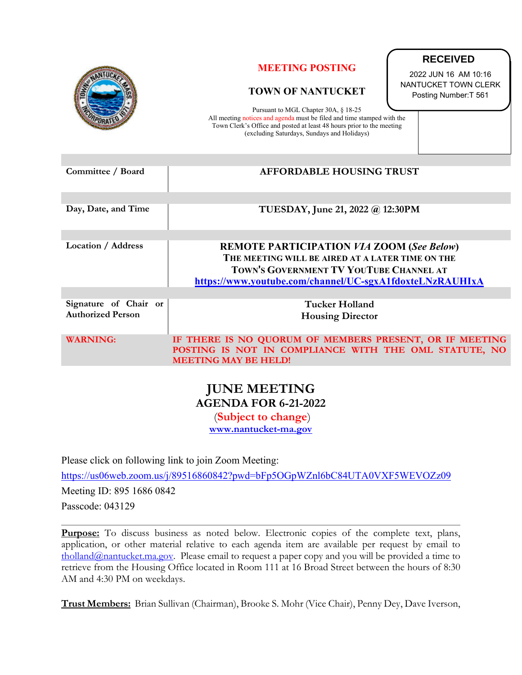

| Committee / Board                                 | <b>AFFORDABLE HOUSING TRUST</b>                                                                                                                                                                             |
|---------------------------------------------------|-------------------------------------------------------------------------------------------------------------------------------------------------------------------------------------------------------------|
| Day, Date, and Time                               | TUESDAY, June 21, 2022 @ 12:30PM                                                                                                                                                                            |
| Location / Address                                | <b>REMOTE PARTICIPATION VIA ZOOM (See Below)</b><br>THE MEETING WILL BE AIRED AT A LATER TIME ON THE<br>TOWN'S GOVERNMENT TV YOUTUBE CHANNEL AT<br>https://www.youtube.com/channel/UC-sgxA1fdoxteLNzRAUHIxA |
| Signature of Chair or<br><b>Authorized Person</b> | Tucker Holland<br><b>Housing Director</b>                                                                                                                                                                   |
| <b>WARNING:</b>                                   | IF THERE IS NO QUORUM OF MEMBERS PRESENT, OR IF MEETING<br>POSTING IS NOT IN COMPLIANCE WITH THE OML STATUTE, NO<br><b>MEETING MAY BE HELD!</b>                                                             |

## **JUNE MEETING AGENDA FOR 6-21-2022**

 (**Subject to change**) **[www.nantucket-ma.gov](http://www.nantucket-ma.gov/)**

Please click on following link to join Zoom Meeting:

<https://us06web.zoom.us/j/89516860842?pwd=bFp5OGpWZnl6bC84UTA0VXF5WEVOZz09> Meeting ID: 895 1686 0842 Passcode: 043129

**Purpose:** To discuss business as noted below. Electronic copies of the complete text, plans, application, or other material relative to each agenda item are available per request by email to [tholland@nantucket.ma.gov.](mailto:tholland@nantucket.ma.gov) Please email to request a paper copy and you will be provided a time to retrieve from the Housing Office located in Room 111 at 16 Broad Street between the hours of 8:30 AM and 4:30 PM on weekdays.

**Trust Members:** Brian Sullivan (Chairman), Brooke S. Mohr (Vice Chair), Penny Dey, Dave Iverson,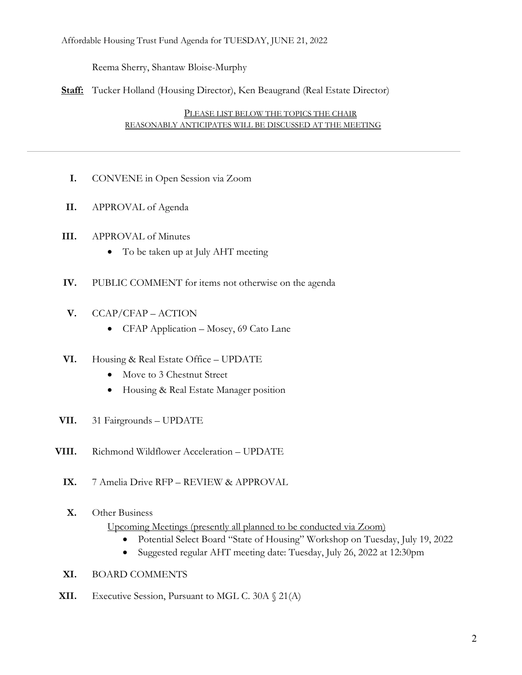Affordable Housing Trust Fund Agenda for TUESDAY, JUNE 21, 2022

Reema Sherry, Shantaw Bloise-Murphy

**Staff:** Tucker Holland (Housing Director), Ken Beaugrand (Real Estate Director)

PLEASE LIST BELOW THE TOPICS THE CHAIR REASONABLY ANTICIPATES WILL BE DISCUSSED AT THE MEETING

- **I.** CONVENE in Open Session via Zoom
- **II.** APPROVAL of Agenda
- **III.** APPROVAL of Minutes
	- To be taken up at July AHT meeting
- **IV.** PUBLIC COMMENT for items not otherwise on the agenda
- **V.** CCAP/CFAP ACTION
	- CFAP Application Mosey, 69 Cato Lane
- **VI.** Housing & Real Estate Office UPDATE
	- Move to 3 Chestnut Street
	- Housing & Real Estate Manager position
- **VII.** 31 Fairgrounds UPDATE
- **VIII.** Richmond Wildflower Acceleration UPDATE
	- **IX.** 7 Amelia Drive RFP REVIEW & APPROVAL
	- **X.** Other Business

Upcoming Meetings (presently all planned to be conducted via Zoom)

- Potential Select Board "State of Housing" Workshop on Tuesday, July 19, 2022
- Suggested regular AHT meeting date: Tuesday, July 26, 2022 at 12:30pm
- **XI.** BOARD COMMENTS
- **XII.** Executive Session, Pursuant to MGL C. 30A § 21(A)